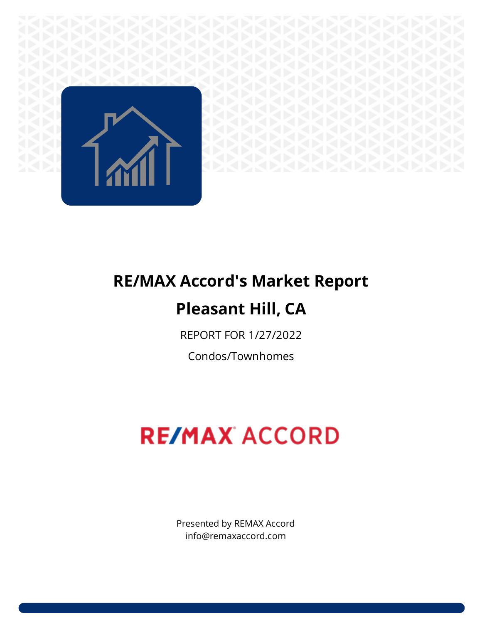

# **RE/MAX Accord's Market Report Pleasant Hill, CA**

REPORT FOR 1/27/2022

Condos/Townhomes

# **RE/MAX ACCORD**

Presented by REMAX Accord info@remaxaccord.com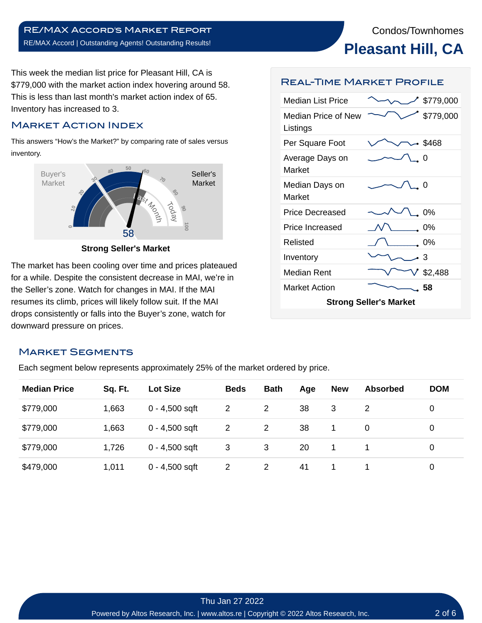**Pleasant Hill, CA**

This week the median list price for Pleasant Hill, CA is \$779,000 with the market action index hovering around 58. This is less than last month's market action index of 65. Inventory has increased to 3.

# Market Action Index

This answers "How's the Market?" by comparing rate of sales versus inventory.



**Strong Seller's Market**

The market has been cooling over time and prices plateaued for a while. Despite the consistent decrease in MAI, we're in the Seller's zone. Watch for changes in MAI. If the MAI resumes its climb, prices will likely follow suit. If the MAI drops consistently or falls into the Buyer's zone, watch for downward pressure on prices.

#### Market Segments

Each segment below represents approximately 25% of the market ordered by price.

| <b>Median Price</b> | Sq. Ft. | <b>Lot Size</b>  | <b>Beds</b> | <b>Bath</b>    | Age | <b>New</b> | <b>Absorbed</b> | <b>DOM</b> |  |
|---------------------|---------|------------------|-------------|----------------|-----|------------|-----------------|------------|--|
| \$779,000           | 1,663   | $0 - 4,500$ sqft | 2           | $\overline{2}$ | 38  | 3          |                 | 0          |  |
| \$779,000           | 1,663   | $0 - 4,500$ sqft | 2           | 2              | 38  |            | $\Omega$        | 0          |  |
| \$779,000           | 1,726   | $0 - 4,500$ sqft | 3           | 3              | 20  |            |                 | 0          |  |
| \$479,000           | 1,011   | $0 - 4,500$ sqft | 2           | 2              | 41  |            |                 | 0          |  |

#### Thu Jan 27 2022 Powered by Altos Research, Inc. | www.altos.re | Copyright © 2022 Altos Research, Inc.

# Real-Time Market Profile

| Median List Price                      |  | \$779,000 |  |  |  |  |
|----------------------------------------|--|-----------|--|--|--|--|
| <b>Median Price of New</b><br>Listings |  | \$779,000 |  |  |  |  |
| Per Square Foot                        |  | 5468 –    |  |  |  |  |
| Average Days on<br>Market              |  | Ω         |  |  |  |  |
| Median Days on<br>Market               |  | O         |  |  |  |  |
| <b>Price Decreased</b>                 |  | $0\%$     |  |  |  |  |
| <b>Price Increased</b>                 |  | 0%        |  |  |  |  |
| Relisted                               |  | 0%        |  |  |  |  |
| Inventory                              |  | -3        |  |  |  |  |
| Median Rent                            |  | \$2,488   |  |  |  |  |
| <b>Market Action</b>                   |  | 58        |  |  |  |  |
| <b>Strong Seller's Market</b>          |  |           |  |  |  |  |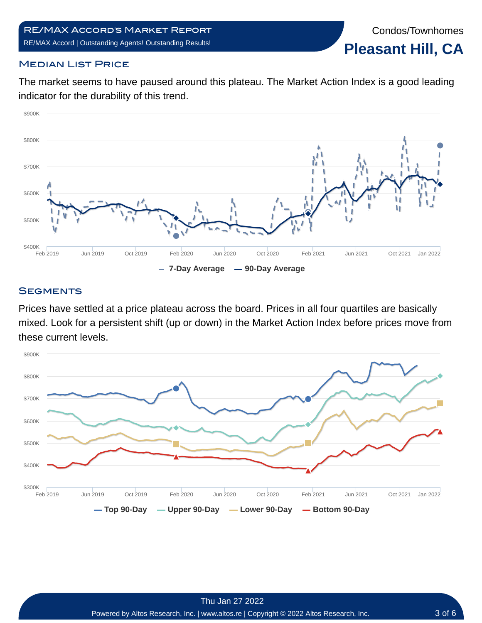Condos/Townhomes **Pleasant Hill, CA**

# **MEDIAN LIST PRICE**

The market seems to have paused around this plateau. The Market Action Index is a good leading indicator for the durability of this trend.



#### **SEGMENTS**

Prices have settled at a price plateau across the board. Prices in all four quartiles are basically mixed. Look for a persistent shift (up or down) in the Market Action Index before prices move from these current levels.

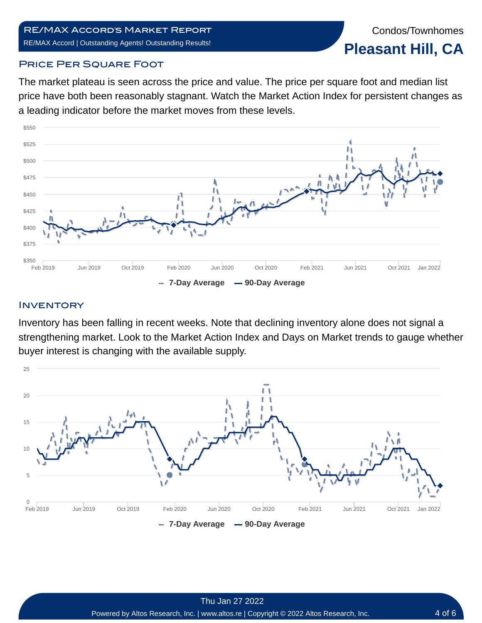#### RE/MAX Accord's Market Report RE/MAX Accord | Outstanding Agents! Outstanding Results!

Condos/Townhomes **Pleasant Hill, CA**

#### **PRICE PER SQUARE FOOT**

The market plateau is seen across the price and value. The price per square foot and median list price have both been reasonably stagnant. Watch the Market Action Index for persistent changes as a leading indicator before the market moves from these levels.



# **INVENTORY**

Inventory has been falling in recent weeks. Note that declining inventory alone does not signal a strengthening market. Look to the Market Action Index and Days on Market trends to gauge whether buyer interest is changing with the available supply.

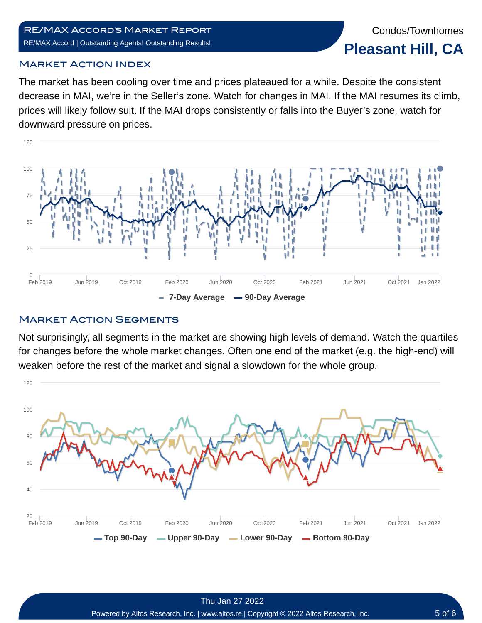#### RE/MAX Accord's Market Report RE/MAX Accord | Outstanding Agents! Outstanding Results!

#### Market Action Index

The market has been cooling over time and prices plateaued for a while. Despite the consistent decrease in MAI, we're in the Seller's zone. Watch for changes in MAI. If the MAI resumes its climb, prices will likely follow suit. If the MAI drops consistently or falls into the Buyer's zone, watch for downward pressure on prices.



#### **MARKET ACTION SEGMENTS**

Not surprisingly, all segments in the market are showing high levels of demand. Watch the quartiles for changes before the whole market changes. Often one end of the market (e.g. the high-end) will weaken before the rest of the market and signal a slowdown for the whole group.